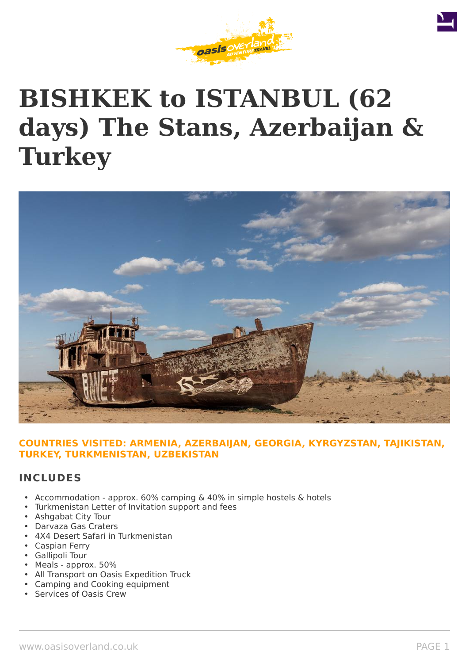





## **COUNTRIES VISITED: ARMENIA, AZERBAIJAN, GEORGIA, KYRGYZSTAN, TAJIKISTAN, TURKEY, TURKMENISTAN, UZBEKISTAN**

## **INCLUDES**

- Accommodation approx. 60% camping & 40% in simple hostels & hotels
- Turkmenistan Letter of Invitation support and fees
- Ashgabat City Tour
- Darvaza Gas Craters
- 4X4 Desert Safari in Turkmenistan
- Caspian Ferry
- Gallipoli Tour
- Meals approx. 50%
- All Transport on Oasis Expedition Truck
- Camping and Cooking equipment
- Services of Oasis Crew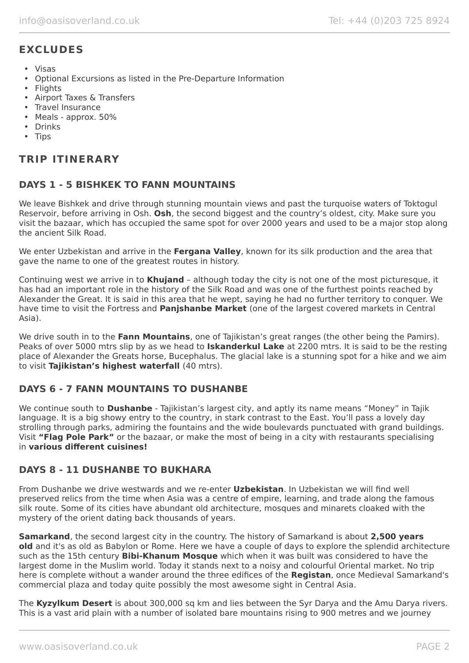# **EXCLUDES**

- Visas
- Optional Excursions as listed in the Pre-Departure Information
- Flights
- Airport Taxes & Transfers
- Travel Insurance
- Meals approx. 50%
- Drinks
- Tips

# **TRIP ITINERARY**

## **DAYS 1 - 5 BISHKEK TO FANN MOUNTAINS**

We leave Bishkek and drive through stunning mountain views and past the turquoise waters of Toktogul Reservoir, before arriving in Osh. **Osh**, the second biggest and the country's oldest, city. Make sure you visit the bazaar, which has occupied the same spot for over 2000 years and used to be a major stop along the ancient Silk Road.

We enter Uzbekistan and arrive in the **Fergana Valley**, known for its silk production and the area that gave the name to one of the greatest routes in history.

Continuing west we arrive in to **Khujand** – although today the city is not one of the most picturesque, it has had an important role in the history of the Silk Road and was one of the furthest points reached by Alexander the Great. It is said in this area that he wept, saying he had no further territory to conquer. We have time to visit the Fortress and **Panjshanbe Market** (one of the largest covered markets in Central Asia).

We drive south in to the **Fann Mountains**, one of Tajikistan's great ranges (the other being the Pamirs). Peaks of over 5000 mtrs slip by as we head to **Iskanderkul Lake** at 2200 mtrs. It is said to be the resting place of Alexander the Greats horse, Bucephalus. The glacial lake is a stunning spot for a hike and we aim to visit **Tajikistan's highest waterfall** (40 mtrs).

## **DAYS 6 - 7 FANN MOUNTAINS TO DUSHANBE**

We continue south to **Dushanbe** - Tajikistan's largest city, and aptly its name means "Money" in Tajik language. It is a big showy entry to the country, in stark contrast to the East. You'll pass a lovely day strolling through parks, admiring the fountains and the wide boulevards punctuated with grand buildings. Visit **"Flag Pole Park"** or the bazaar, or make the most of being in a city with restaurants specialising in **various different cuisines!**

## **DAYS 8 - 11 DUSHANBE TO BUKHARA**

From Dushanbe we drive westwards and we re-enter **Uzbekistan**. In Uzbekistan we will find well preserved relics from the time when Asia was a centre of empire, learning, and trade along the famous silk route. Some of its cities have abundant old architecture, mosques and minarets cloaked with the mystery of the orient dating back thousands of years.

**Samarkand**, the second largest city in the country. The history of Samarkand is about **2,500 years old** and it's as old as Babylon or Rome. Here we have a couple of days to explore the splendid architecture such as the 15th century **Bibi-Khanum Mosque** which when it was built was considered to have the largest dome in the Muslim world. Today it stands next to a noisy and colourful Oriental market. No trip here is complete without a wander around the three edifices of the **Registan**, once Medieval Samarkand's commercial plaza and today quite possibly the most awesome sight in Central Asia.

The **Kyzylkum Desert** is about 300,000 sq km and lies between the Syr Darya and the Amu Darya rivers. This is a vast arid plain with a number of isolated bare mountains rising to 900 metres and we journey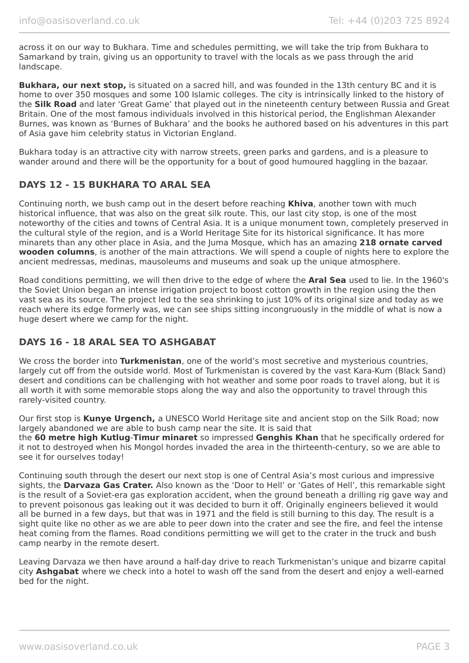across it on our way to Bukhara. Time and schedules permitting, we will take the trip from Bukhara to Samarkand by train, giving us an opportunity to travel with the locals as we pass through the arid landscape.

**Bukhara, our next stop,** is situated on a sacred hill, and was founded in the 13th century BC and it is home to over 350 mosques and some 100 Islamic colleges. The city is intrinsically linked to the history of the **Silk Road** and later 'Great Game' that played out in the nineteenth century between Russia and Great Britain. One of the most famous individuals involved in this historical period, the Englishman Alexander Burnes, was known as 'Burnes of Bukhara' and the books he authored based on his adventures in this part of Asia gave him celebrity status in Victorian England.

Bukhara today is an attractive city with narrow streets, green parks and gardens, and is a pleasure to wander around and there will be the opportunity for a bout of good humoured haggling in the bazaar.

## **DAYS 12 - 15 BUKHARA TO ARAL SEA**

Continuing north, we bush camp out in the desert before reaching **Khiva**, another town with much historical influence, that was also on the great silk route. This, our last city stop, is one of the most noteworthy of the cities and towns of Central Asia. It is a unique monument town, completely preserved in the cultural style of the region, and is a World Heritage Site for its historical significance. It has more minarets than any other place in Asia, and the Juma Mosque, which has an amazing **218 ornate carved wooden columns**, is another of the main attractions. We will spend a couple of nights here to explore the ancient medressas, medinas, mausoleums and museums and soak up the unique atmosphere.

Road conditions permitting, we will then drive to the edge of where the **Aral Sea** used to lie. In the 1960's the Soviet Union began an intense irrigation project to boost cotton growth in the region using the then vast sea as its source. The project led to the sea shrinking to just 10% of its original size and today as we reach where its edge formerly was, we can see ships sitting incongruously in the middle of what is now a huge desert where we camp for the night.

## **DAYS 16 - 18 ARAL SEA TO ASHGABAT**

We cross the border into **Turkmenistan**, one of the world's most secretive and mysterious countries, largely cut off from the outside world. Most of Turkmenistan is covered by the vast Kara-Kum (Black Sand) desert and conditions can be challenging with hot weather and some poor roads to travel along, but it is all worth it with some memorable stops along the way and also the opportunity to travel through this rarely-visited country.

Our first stop is **Kunye Urgench,** a UNESCO World Heritage site and ancient stop on the Silk Road; now largely abandoned we are able to bush camp near the site. It is said that

the **60 metre high Kutlug**-**Timur minaret** so impressed **Genghis Khan** that he specifically ordered for it not to destroyed when his Mongol hordes invaded the area in the thirteenth-century, so we are able to see it for ourselves today!

Continuing south through the desert our next stop is one of Central Asia's most curious and impressive sights, the **Darvaza Gas Crater.** Also known as the 'Door to Hell' or 'Gates of Hell', this remarkable sight is the result of a Soviet-era gas exploration accident, when the ground beneath a drilling rig gave way and to prevent poisonous gas leaking out it was decided to burn it off. Originally engineers believed it would all be burned in a few days, but that was in 1971 and the field is still burning to this day. The result is a sight quite like no other as we are able to peer down into the crater and see the fire, and feel the intense heat coming from the flames. Road conditions permitting we will get to the crater in the truck and bush camp nearby in the remote desert.

Leaving Darvaza we then have around a half-day drive to reach Turkmenistan's unique and bizarre capital city **Ashgabat** where we check into a hotel to wash off the sand from the desert and enjoy a well-earned bed for the night.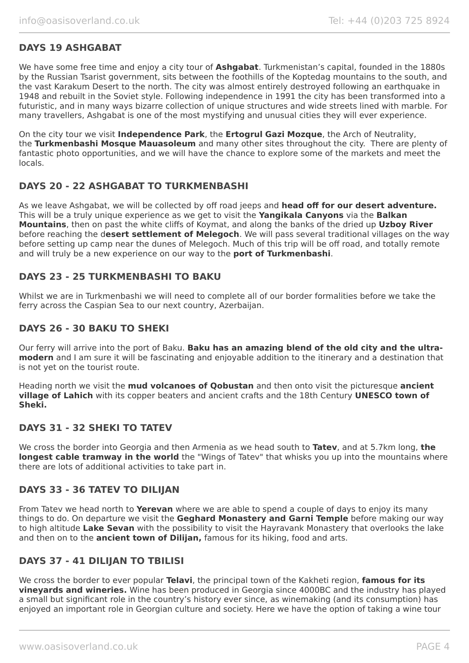## **DAYS 19 ASHGABAT**

We have some free time and enjoy a city tour of **Ashgabat**. Turkmenistan's capital, founded in the 1880s by the Russian Tsarist government, sits between the foothills of the Koptedag mountains to the south, and the vast Karakum Desert to the north. The city was almost entirely destroyed following an earthquake in 1948 and rebuilt in the Soviet style. Following independence in 1991 the city has been transformed into a futuristic, and in many ways bizarre collection of unique structures and wide streets lined with marble. For many travellers, Ashgabat is one of the most mystifying and unusual cities they will ever experience.

On the city tour we visit **Independence Park**, the **Ertogrul Gazi Mozque**, the Arch of Neutrality, the **Turkmenbashi Mosque Mauasoleum** and many other sites throughout the city. There are plenty of fantastic photo opportunities, and we will have the chance to explore some of the markets and meet the locals.

## **DAYS 20 - 22 ASHGABAT TO TURKMENBASHI**

As we leave Ashgabat, we will be collected by off road jeeps and **head off for our desert adventure.** This will be a truly unique experience as we get to visit the **Yangikala Canyons** via the **Balkan Mountains**, then on past the white cliffs of Koymat, and along the banks of the dried up **Uzboy River** before reaching the d**esert settlement of Melegoch**. We will pass several traditional villages on the way before setting up camp near the dunes of Melegoch. Much of this trip will be off road, and totally remote and will truly be a new experience on our way to the **port of Turkmenbashi**.

## **DAYS 23 - 25 TURKMENBASHI TO BAKU**

Whilst we are in Turkmenbashi we will need to complete all of our border formalities before we take the ferry across the Caspian Sea to our next country, Azerbaijan.

## **DAYS 26 - 30 BAKU TO SHEKI**

Our ferry will arrive into the port of Baku. **Baku has an amazing blend of the old city and the ultramodern** and I am sure it will be fascinating and enjoyable addition to the itinerary and a destination that is not yet on the tourist route.

Heading north we visit the **mud volcanoes of Qobustan** and then onto visit the picturesque **ancient village of Lahich** with its copper beaters and ancient crafts and the 18th Century **UNESCO town of Sheki.**

## **DAYS 31 - 32 SHEKI TO TATEV**

We cross the border into Georgia and then Armenia as we head south to **Tatev**, and at 5.7km long, **the longest cable tramway in the world** the "Wings of Tatev" that whisks you up into the mountains where there are lots of additional activities to take part in.

## **DAYS 33 - 36 TATEV TO DILIJAN**

From Tatev we head north to **Yerevan** where we are able to spend a couple of days to enjoy its many things to do. On departure we visit the **Geghard Monastery and Garni Temple** before making our way to high altitude **Lake Sevan** with the possibility to visit the Hayravank Monastery that overlooks the lake and then on to the **ancient town of Dilijan,** famous for its hiking, food and arts.

## **DAYS 37 - 41 DILIJAN TO TBILISI**

We cross the border to ever popular **Telavi**, the principal town of the Kakheti region, **famous for its vineyards and wineries.** Wine has been produced in Georgia since 4000BC and the industry has played a small but significant role in the country's history ever since, as winemaking (and its consumption) has enjoyed an important role in Georgian culture and society. Here we have the option of taking a wine tour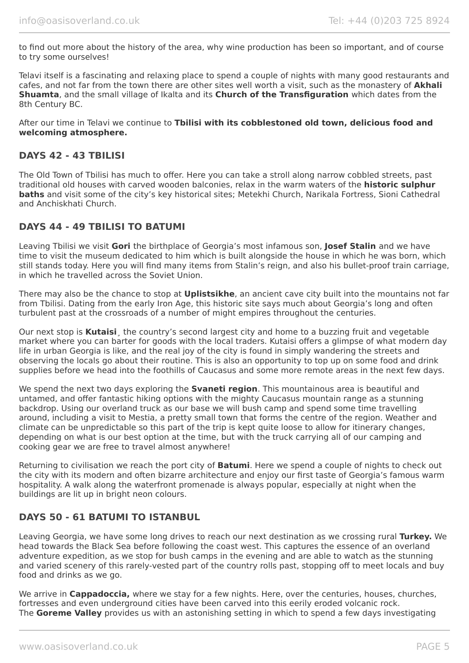to find out more about the history of the area, why wine production has been so important, and of course to try some ourselves!

Telavi itself is a fascinating and relaxing place to spend a couple of nights with many good restaurants and cafes, and not far from the town there are other sites well worth a visit, such as the monastery of **Akhali Shuamta**, and the small village of Ikalta and its **Church of the Transfiguration** which dates from the 8th Century BC.

After our time in Telavi we continue to **Tbilisi with its cobblestoned old town, delicious food and welcoming atmosphere.**

## **DAYS 42 - 43 TBILISI**

The Old Town of Tbilisi has much to offer. Here you can take a stroll along narrow cobbled streets, past traditional old houses with carved wooden balconies, relax in the warm waters of the **historic sulphur baths** and visit some of the city's key historical sites; Metekhi Church, Narikala Fortress, Sioni Cathedral and Anchiskhati Church.

## **DAYS 44 - 49 TBILISI TO BATUMI**

Leaving Tbilisi we visit **Gori** the birthplace of Georgia's most infamous son, **Josef Stalin** and we have time to visit the museum dedicated to him which is built alongside the house in which he was born, which still stands today. Here you will find many items from Stalin's reign, and also his bullet-proof train carriage, in which he travelled across the Soviet Union.

There may also be the chance to stop at **Uplistsikhe**, an ancient cave city built into the mountains not far from Tbilisi. Dating from the early Iron Age, this historic site says much about Georgia's long and often turbulent past at the crossroads of a number of might empires throughout the centuries.

Our next stop is **Kutaisi**¸ the country's second largest city and home to a buzzing fruit and vegetable market where you can barter for goods with the local traders. Kutaisi offers a glimpse of what modern day life in urban Georgia is like, and the real joy of the city is found in simply wandering the streets and observing the locals go about their routine. This is also an opportunity to top up on some food and drink supplies before we head into the foothills of Caucasus and some more remote areas in the next few days.

We spend the next two days exploring the **Svaneti region**. This mountainous area is beautiful and untamed, and offer fantastic hiking options with the mighty Caucasus mountain range as a stunning backdrop. Using our overland truck as our base we will bush camp and spend some time travelling around, including a visit to Mestia, a pretty small town that forms the centre of the region. Weather and climate can be unpredictable so this part of the trip is kept quite loose to allow for itinerary changes, depending on what is our best option at the time, but with the truck carrying all of our camping and cooking gear we are free to travel almost anywhere!

Returning to civilisation we reach the port city of **Batumi**. Here we spend a couple of nights to check out the city with its modern and often bizarre architecture and enjoy our first taste of Georgia's famous warm hospitality. A walk along the waterfront promenade is always popular, especially at night when the buildings are lit up in bright neon colours.

## **DAYS 50 - 61 BATUMI TO ISTANBUL**

Leaving Georgia, we have some long drives to reach our next destination as we crossing rural **Turkey.** We head towards the Black Sea before following the coast west. This captures the essence of an overland adventure expedition, as we stop for bush camps in the evening and are able to watch as the stunning and varied scenery of this rarely-vested part of the country rolls past, stopping off to meet locals and buy food and drinks as we go.

We arrive in **Cappadoccia,** where we stay for a few nights. Here, over the centuries, houses, churches, fortresses and even underground cities have been carved into this eerily eroded volcanic rock. The **Goreme Valley** provides us with an astonishing setting in which to spend a few days investigating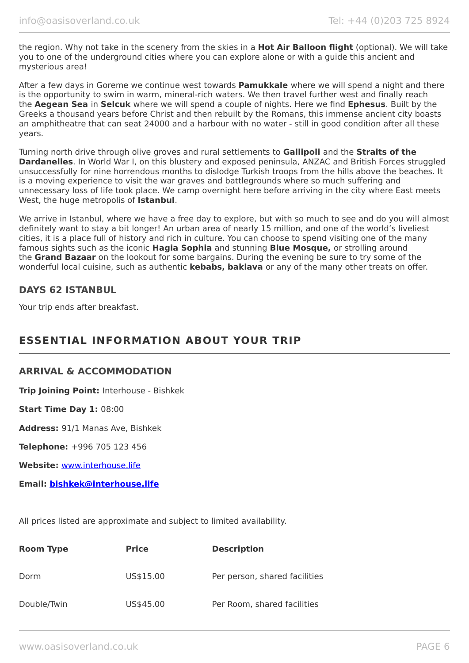the region. Why not take in the scenery from the skies in a **Hot Air Balloon flight** (optional). We will take you to one of the underground cities where you can explore alone or with a guide this ancient and mysterious area!

After a few days in Goreme we continue west towards **Pamukkale** where we will spend a night and there is the opportunity to swim in warm, mineral-rich waters. We then travel further west and finally reach the **Aegean Sea** in **Selcuk** where we will spend a couple of nights. Here we find **Ephesus**. Built by the Greeks a thousand years before Christ and then rebuilt by the Romans, this immense ancient city boasts an amphitheatre that can seat 24000 and a harbour with no water - still in good condition after all these years.

Turning north drive through olive groves and rural settlements to **Gallipoli** and the **Straits of the Dardanelles**. In World War I, on this blustery and exposed peninsula, ANZAC and British Forces struggled unsuccessfully for nine horrendous months to dislodge Turkish troops from the hills above the beaches. It is a moving experience to visit the war graves and battlegrounds where so much suffering and unnecessary loss of life took place. We camp overnight here before arriving in the city where East meets West, the huge metropolis of **Istanbul**.

We arrive in Istanbul, where we have a free day to explore, but with so much to see and do you will almost definitely want to stay a bit longer! An urban area of nearly 15 million, and one of the world's liveliest cities, it is a place full of history and rich in culture. You can choose to spend visiting one of the many famous sights such as the iconic **Hagia Sophia** and stunning **Blue Mosque,** or strolling around the **Grand Bazaar** on the lookout for some bargains. During the evening be sure to try some of the wonderful local cuisine, such as authentic **kebabs, baklava** or any of the many other treats on offer.

## **DAYS 62 ISTANBUL**

Your trip ends after breakfast.

# **ESSENTIAL INFORMATION ABOUT YOUR TRIP**

## **ARRIVAL & ACCOMMODATION**

**Trip Joining Point:** Interhouse - Bishkek

**Start Time Day 1:** 08:00

**Address:** 91/1 Manas Ave, Bishkek

**Telephone:** +996 705 123 456

**Website:** [www.interhouse.life](http://www.interhouse.life/)

**Email: [bishkek@interhouse.life](mailto:bishkek@interhouse.life)**

All prices listed are approximate and subject to limited availability.

| <b>Room Type</b> | <b>Price</b> | <b>Description</b>            |
|------------------|--------------|-------------------------------|
| Dorm             | US\$15.00    | Per person, shared facilities |
| Double/Twin      | US\$45.00    | Per Room, shared facilities   |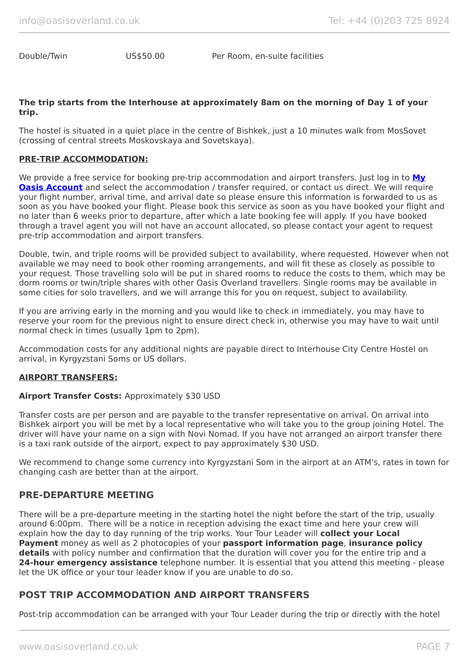Double/Twin US\$50.00 Per Room, en-suite facilities

#### **The trip starts from the Interhouse at approximately 8am on the morning of Day 1 of your trip.**

The hostel is situated in a quiet place in the centre of Bishkek, just a 10 minutes walk from MosSovet (crossing of central streets Moskovskaya and Sovetskaya).

### **PRE-TRIP ACCOMMODATION:**

We provide a free service for booking pre-trip accommodation and airport transfers. Just log in to **[My](https://oasisportal.eecsoftware.com/login.php) [Oasis Account](https://oasisportal.eecsoftware.com/login.php)** and select the accommodation / transfer required, or contact us direct. We will require your flight number, arrival time, and arrival date so please ensure this information is forwarded to us as soon as you have booked your flight. Please book this service as soon as you have booked your flight and no later than 6 weeks prior to departure, after which a late booking fee will apply. If you have booked through a travel agent you will not have an account allocated, so please contact your agent to request pre-trip accommodation and airport transfers.

Double, twin, and triple rooms will be provided subject to availability, where requested. However when not available we may need to book other rooming arrangements, and will fit these as closely as possible to your request. Those travelling solo will be put in shared rooms to reduce the costs to them, which may be dorm rooms or twin/triple shares with other Oasis Overland travellers. Single rooms may be available in some cities for solo travellers, and we will arrange this for you on request, subject to availability.

If you are arriving early in the morning and you would like to check in immediately, you may have to reserve your room for the previous night to ensure direct check in, otherwise you may have to wait until normal check in times (usually 1pm to 2pm).

Accommodation costs for any additional nights are payable direct to Interhouse City Centre Hostel on arrival, in Kyrgyzstani Soms or US dollars.

#### **AIRPORT TRANSFERS:**

#### **Airport Transfer Costs:** Approximately \$30 USD

Transfer costs are per person and are payable to the transfer representative on arrival. On arrival into Bishkek airport you will be met by a local representative who will take you to the group joining Hotel. The driver will have your name on a sign with Novi Nomad. If you have not arranged an airport transfer there is a taxi rank outside of the airport, expect to pay approximately \$30 USD.

We recommend to change some currency into Kyrgyzstani Som in the airport at an ATM's, rates in town for changing cash are better than at the airport.

### **PRE-DEPARTURE MEETING**

There will be a pre-departure meeting in the starting hotel the night before the start of the trip, usually around 6:00pm. There will be a notice in reception advising the exact time and here your crew will explain how the day to day running of the trip works. Your Tour Leader will **collect your Local Payment** money as well as 2 photocopies of your **passport information page**, **insurance policy details** with policy number and confirmation that the duration will cover you for the entire trip and a **24-hour emergency assistance** telephone number. It is essential that you attend this meeting - please let the UK office or your tour leader know if you are unable to do so.

## **POST TRIP ACCOMMODATION AND AIRPORT TRANSFERS**

Post-trip accommodation can be arranged with your Tour Leader during the trip or directly with the hotel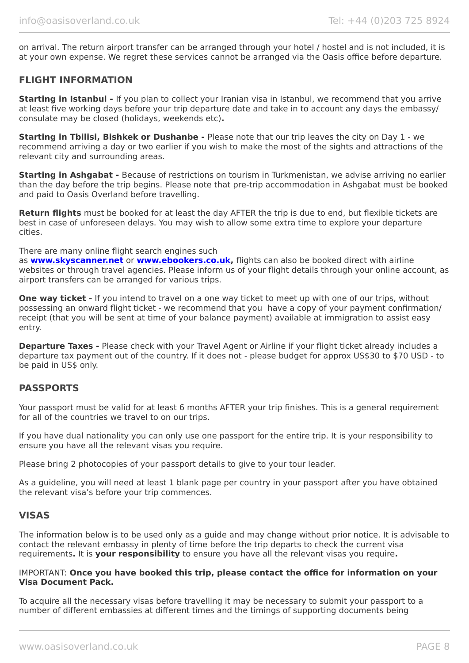on arrival. The return airport transfer can be arranged through your hotel / hostel and is not included, it is at your own expense. We regret these services cannot be arranged via the Oasis office before departure.

## **FLIGHT INFORMATION**

**Starting in Istanbul -** If you plan to collect your Iranian visa in Istanbul, we recommend that you arrive at least five working days before your trip departure date and take in to account any days the embassy/ consulate may be closed (holidays, weekends etc)**.**

**Starting in Tbilisi, Bishkek or Dushanbe -** Please note that our trip leaves the city on Day 1 - we recommend arriving a day or two earlier if you wish to make the most of the sights and attractions of the relevant city and surrounding areas.

**Starting in Ashgabat -** Because of restrictions on tourism in Turkmenistan, we advise arriving no earlier than the day before the trip begins. Please note that pre-trip accommodation in Ashgabat must be booked and paid to Oasis Overland before travelling.

**Return flights** must be booked for at least the day AFTER the trip is due to end, but flexible tickets are best in case of unforeseen delays. You may wish to allow some extra time to explore your departure cities.

There are many online flight search engines such

as **[www.skyscanner.net](http://www.dpbolvw.net/click-5720161-10639348)** or **[www.ebookers.co.uk,](http://www.ebookers.co.uk/)** flights can also be booked direct with airline websites or through travel agencies. Please inform us of your flight details through your online account, as airport transfers can be arranged for various trips.

**One way ticket -** If you intend to travel on a one way ticket to meet up with one of our trips, without possessing an onward flight ticket - we recommend that you have a copy of your payment confirmation/ receipt (that you will be sent at time of your balance payment) available at immigration to assist easy entry.

**Departure Taxes -** Please check with your Travel Agent or Airline if your flight ticket already includes a departure tax payment out of the country. If it does not - please budget for approx US\$30 to \$70 USD - to be paid in US\$ only.

## **PASSPORTS**

Your passport must be valid for at least 6 months AFTER your trip finishes. This is a general requirement for all of the countries we travel to on our trips.

If you have dual nationality you can only use one passport for the entire trip. It is your responsibility to ensure you have all the relevant visas you require.

Please bring 2 photocopies of your passport details to give to your tour leader.

As a guideline, you will need at least 1 blank page per country in your passport after you have obtained the relevant visa's before your trip commences.

## **VISAS**

The information below is to be used only as a guide and may change without prior notice. It is advisable to contact the relevant embassy in plenty of time before the trip departs to check the current visa requirements**.** It is **your responsibility** to ensure you have all the relevant visas you require**.**

#### IMPORTANT: **Once you have booked this trip, please contact the office for information on your Visa Document Pack.**

To acquire all the necessary visas before travelling it may be necessary to submit your passport to a number of different embassies at different times and the timings of supporting documents being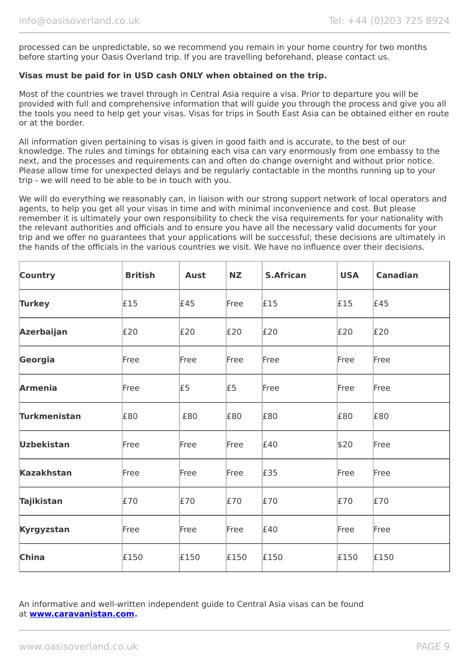processed can be unpredictable, so we recommend you remain in your home country for two months before starting your Oasis Overland trip. If you are travelling beforehand, please contact us.

## **Visas must be paid for in USD cash ONLY when obtained on the trip.**

Most of the countries we travel through in Central Asia require a visa. Prior to departure you will be provided with full and comprehensive information that will guide you through the process and give you all the tools you need to help get your visas. Visas for trips in South East Asia can be obtained either en route or at the border.

All information given pertaining to visas is given in good faith and is accurate, to the best of our knowledge. The rules and timings for obtaining each visa can vary enormously from one embassy to the next, and the processes and requirements can and often do change overnight and without prior notice. Please allow time for unexpected delays and be regularly contactable in the months running up to your trip - we will need to be able to be in touch with you.

We will do everything we reasonably can, in liaison with our strong support network of local operators and agents, to help you get all your visas in time and with minimal inconvenience and cost. But please remember it is ultimately your own responsibility to check the visa requirements for your nationality with the relevant authorities and officials and to ensure you have all the necessary valid documents for your trip and we offer no guarantees that your applications will be successful; these decisions are ultimately in the hands of the officials in the various countries we visit. We have no influence over their decisions.

| <b>Country</b>      | <b>British</b> | <b>Aust</b> | <b>NZ</b> | <b>S.African</b> | <b>USA</b> | <b>Canadian</b> |
|---------------------|----------------|-------------|-----------|------------------|------------|-----------------|
| <b>Turkey</b>       | £15            | £45         | Free      | £15              | £15        | £45             |
| Azerbaijan          | E20            | E20         | £20       | £20              | E20        | £20             |
| Georgia             | Free           | Free        | Free      | Free             | Free       | Free            |
| <b>Armenia</b>      | Free           | £5          | £5        | Free             | Free       | Free            |
| <b>Turkmenistan</b> | £80            | £80         | £80       | £80              | £80        | £80             |
| <b>Uzbekistan</b>   | Free           | Free        | Free      | £40              | \$20       | Free            |
| <b>Kazakhstan</b>   | Free           | Free        | Free      | £35              | Free       | Free            |
| <b>Tajikistan</b>   | £70            | £70         | £70       | £70              | £70        | £70             |
| Kyrgyzstan          | Free           | Free        | Free      | £40              | Free       | Free            |
| China               | £150           | £150        | £150      | £150             | £150       | £150            |

An informative and well-written independent guide to Central Asia visas can be found at **[www.caravanistan.com.](http://www.caravanistan.com/)**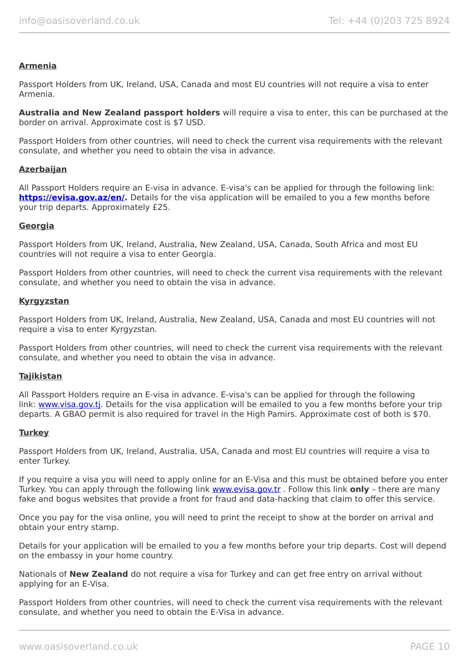#### **Armenia**

Passport Holders from UK, Ireland, USA, Canada and most EU countries will not require a visa to enter Armenia.

**Australia and New Zealand passport holders** will require a visa to enter, this can be purchased at the border on arrival. Approximate cost is \$7 USD.

Passport Holders from other countries, will need to check the current visa requirements with the relevant consulate, and whether you need to obtain the visa in advance.

#### **Azerbaijan**

All Passport Holders require an E-visa in advance. E-visa's can be applied for through the following link: **<https://evisa.gov.az/en/>.** Details for the visa application will be emailed to you a few months before your trip departs. Approximately £25.

#### **Georgia**

Passport Holders from UK, Ireland, Australia, New Zealand, USA, Canada, South Africa and most EU countries will not require a visa to enter Georgia.

Passport Holders from other countries, will need to check the current visa requirements with the relevant consulate, and whether you need to obtain the visa in advance.

#### **Kyrgyzstan**

Passport Holders from UK, Ireland, Australia, New Zealand, USA, Canada and most EU countries will not require a visa to enter Kyrgyzstan.

Passport Holders from other countries, will need to check the current visa requirements with the relevant consulate, and whether you need to obtain the visa in advance.

#### **Tajikistan**

All Passport Holders require an E-visa in advance. E-visa's can be applied for through the following link: [www.visa.gov.tj.](https://www.visa.gov.tj/index.html) Details for the visa application will be emailed to you a few months before your trip departs. A GBAO permit is also required for travel in the High Pamirs. Approximate cost of both is \$70.

#### **Turkey**

Passport Holders from UK, Ireland, Australia, USA, Canada and most EU countries will require a visa to enter Turkey.

If you require a visa you will need to apply online for an E-Visa and this must be obtained before you enter Turkey. You can apply through the following link [www.evisa.gov.tr](https://www.evisa.gov.tr/en/) . Follow this link **only** – there are many fake and bogus websites that provide a front for fraud and data-hacking that claim to offer this service.

Once you pay for the visa online, you will need to print the receipt to show at the border on arrival and obtain your entry stamp.

Details for your application will be emailed to you a few months before your trip departs. Cost will depend on the embassy in your home country.

Nationals of **New Zealand** do not require a visa for Turkey and can get free entry on arrival without applying for an E-Visa.

Passport Holders from other countries, will need to check the current visa requirements with the relevant consulate, and whether you need to obtain the E-Visa in advance.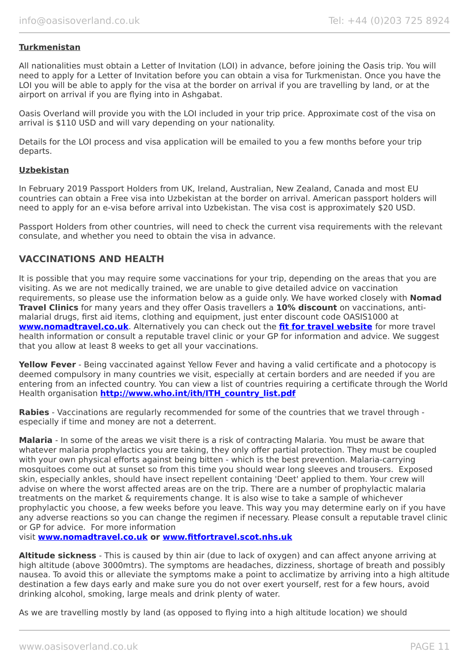### **Turkmenistan**

All nationalities must obtain a Letter of Invitation (LOI) in advance, before joining the Oasis trip. You will need to apply for a Letter of Invitation before you can obtain a visa for Turkmenistan. Once you have the LOI you will be able to apply for the visa at the border on arrival if you are travelling by land, or at the airport on arrival if you are flying into in Ashgabat.

Oasis Overland will provide you with the LOI included in your trip price. Approximate cost of the visa on arrival is \$110 USD and will vary depending on your nationality.

Details for the LOI process and visa application will be emailed to you a few months before your trip departs.

#### **Uzbekistan**

In February 2019 Passport Holders from UK, Ireland, Australian, New Zealand, Canada and most EU countries can obtain a Free visa into Uzbekistan at the border on arrival. American passport holders will need to apply for an e-visa before arrival into Uzbekistan. The visa cost is approximately \$20 USD.

Passport Holders from other countries, will need to check the current visa requirements with the relevant consulate, and whether you need to obtain the visa in advance.

## **VACCINATIONS AND HEALTH**

It is possible that you may require some vaccinations for your trip, depending on the areas that you are visiting. As we are not medically trained, we are unable to give detailed advice on vaccination requirements, so please use the information below as a guide only. We have worked closely with **Nomad Travel Clinics** for many years and they offer Oasis travellers a **10% discount** on vaccinations, antimalarial drugs, first aid items, clothing and equipment, just enter discount code OASIS1000 at **[www.nomadtravel.co.uk](http://www.nomadtravel.co.uk/)**. Alternatively you can check out the **[fit for travel website](http://www.fitfortravel.scot.nhs.uk/home.aspx)** for more travel health information or consult a reputable travel clinic or your GP for information and advice. We suggest that you allow at least 8 weeks to get all your vaccinations.

**Yellow Fever** - Being vaccinated against Yellow Fever and having a valid certificate and a photocopy is deemed compulsory in many countries we visit, especially at certain borders and are needed if you are entering from an infected country. You can view a list of countries requiring a certificate through the World Health organisation **[http://www.who.int/ith/ITH\\_country\\_list.pdf](http://www.who.int/ith/ITH_country_list.pdf)** 

**Rabies** - Vaccinations are regularly recommended for some of the countries that we travel through especially if time and money are not a deterrent.

**Malaria** - In some of the areas we visit there is a risk of contracting Malaria. You must be aware that whatever malaria prophylactics you are taking, they only offer partial protection. They must be coupled with your own physical efforts against being bitten - which is the best prevention. Malaria-carrying mosquitoes come out at sunset so from this time you should wear long sleeves and trousers. Exposed skin, especially ankles, should have insect repellent containing 'Deet' applied to them. Your crew will advise on where the worst affected areas are on the trip. There are a number of prophylactic malaria treatments on the market & requirements change. It is also wise to take a sample of whichever prophylactic you choose, a few weeks before you leave. This way you may determine early on if you have any adverse reactions so you can change the regimen if necessary. Please consult a reputable travel clinic or GP for advice. For more information

visit **[www.nomadtravel.co.uk](https://www.nomadtravel.co.uk/) or [www.fitfortravel.scot.nhs.uk](http://www.fitfortravel.scot.nhs.uk/)**

**Altitude sickness** - This is caused by thin air (due to lack of oxygen) and can affect anyone arriving at high altitude (above 3000mtrs). The symptoms are headaches, dizziness, shortage of breath and possibly nausea. To avoid this or alleviate the symptoms make a point to acclimatize by arriving into a high altitude destination a few days early and make sure you do not over exert yourself, rest for a few hours, avoid drinking alcohol, smoking, large meals and drink plenty of water.

As we are travelling mostly by land (as opposed to flying into a high altitude location) we should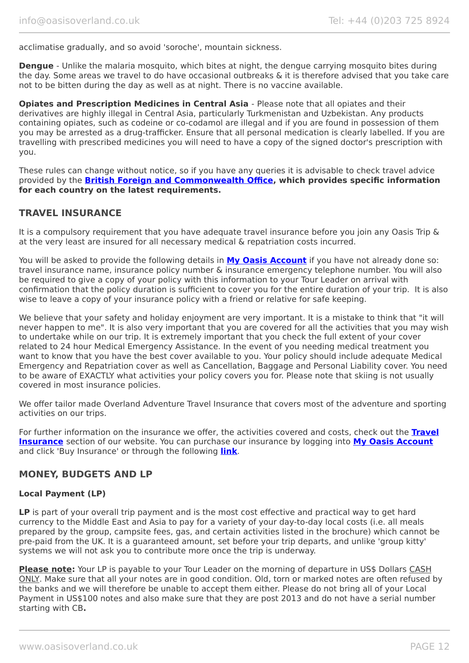acclimatise gradually, and so avoid 'soroche', mountain sickness.

**Dengue** - Unlike the malaria mosquito, which bites at night, the dengue carrying mosquito bites during the day. Some areas we travel to do have occasional outbreaks & it is therefore advised that you take care not to be bitten during the day as well as at night. There is no vaccine available.

**Opiates and Prescription Medicines in Central Asia** - Please note that all opiates and their derivatives are highly illegal in Central Asia, particularly Turkmenistan and Uzbekistan. Any products containing opiates, such as codeine or co-codamol are illegal and if you are found in possession of them you may be arrested as a drug-trafficker. Ensure that all personal medication is clearly labelled. If you are travelling with prescribed medicines you will need to have a copy of the signed doctor's prescription with you.

These rules can change without notice, so if you have any queries it is advisable to check travel advice provided by the **[British Foreign and Commonwealth Office,](https://www.gov.uk/foreign-travel-advice/uzbekistan/entry-requirements) which provides specific information for each country on the latest requirements.**

## **TRAVEL INSURANCE**

It is a compulsory requirement that you have adequate travel insurance before you join any Oasis Trip & at the very least are insured for all necessary medical & repatriation costs incurred.

You will be asked to provide the following details in **My [Oasis Account](https://oasisportal.eecsoftware.com/)** if you have not already done so: travel insurance name, insurance policy number & insurance emergency telephone number. You will also be required to give a copy of your policy with this information to your Tour Leader on arrival with confirmation that the policy duration is sufficient to cover you for the entire duration of your trip. It is also wise to leave a copy of your insurance policy with a friend or relative for safe keeping.

We believe that your safety and holiday enjoyment are very important. It is a mistake to think that "it will never happen to me". It is also very important that you are covered for all the activities that you may wish to undertake while on our trip. It is extremely important that you check the full extent of your cover related to 24 hour Medical Emergency Assistance. In the event of you needing medical treatment you want to know that you have the best cover available to you. Your policy should include adequate Medical Emergency and Repatriation cover as well as Cancellation, Baggage and Personal Liability cover. You need to be aware of EXACTLY what activities your policy covers you for. Please note that skiing is not usually covered in most insurance policies.

We offer tailor made Overland Adventure Travel Insurance that covers most of the adventure and sporting activities on our trips.

For further information on the insurance we offer, the activities covered and costs, check out the **[Travel](https://www.oasisoverland.co.uk/travel-insurance) [Insurance](https://www.oasisoverland.co.uk/travel-insurance)** section of our website. You can purchase our insurance by logging into **[My Oasis Account](https://oasisportal.eecsoftware.com/)** and click 'Buy Insurance' or through the following **[link](https://www.campbellirvinedirect.com/oasisoverland/)**.

## **MONEY, BUDGETS AND LP**

#### **Local Payment (LP)**

**LP** is part of your overall trip payment and is the most cost effective and practical way to get hard currency to the Middle East and Asia to pay for a variety of your day-to-day local costs (i.e. all meals prepared by the group, campsite fees, gas, and certain activities listed in the brochure) which cannot be pre-paid from the UK. It is a guaranteed amount, set before your trip departs, and unlike 'group kitty' systems we will not ask you to contribute more once the trip is underway.

**Please note:** Your LP is payable to your Tour Leader on the morning of departure in US\$ Dollars CASH ONLY. Make sure that all your notes are in good condition. Old, torn or marked notes are often refused by the banks and we will therefore be unable to accept them either. Please do not bring all of your Local Payment in US\$100 notes and also make sure that they are post 2013 and do not have a serial number starting with CB**.**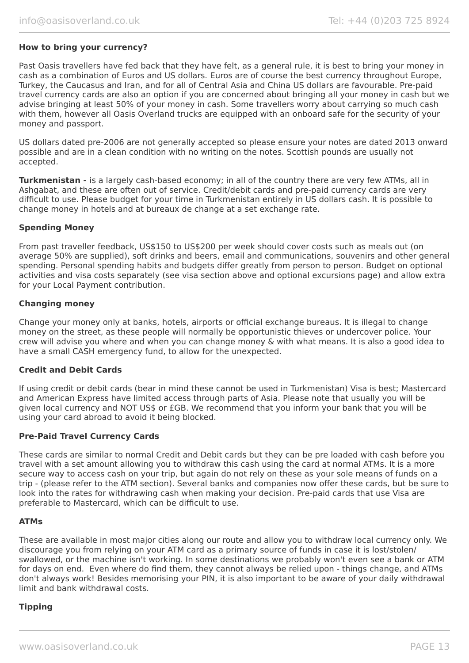#### **How to bring your currency?**

Past Oasis travellers have fed back that they have felt, as a general rule, it is best to bring your money in cash as a combination of Euros and US dollars. Euros are of course the best currency throughout Europe, Turkey, the Caucasus and Iran, and for all of Central Asia and China US dollars are favourable. Pre-paid travel currency cards are also an option if you are concerned about bringing all your money in cash but we advise bringing at least 50% of your money in cash. Some travellers worry about carrying so much cash with them, however all Oasis Overland trucks are equipped with an onboard safe for the security of your money and passport.

US dollars dated pre-2006 are not generally accepted so please ensure your notes are dated 2013 onward possible and are in a clean condition with no writing on the notes. Scottish pounds are usually not accepted.

**Turkmenistan -** is a largely cash-based economy; in all of the country there are very few ATMs, all in Ashgabat, and these are often out of service. Credit/debit cards and pre-paid currency cards are very difficult to use. Please budget for your time in Turkmenistan entirely in US dollars cash. It is possible to change money in hotels and at bureaux de change at a set exchange rate.

#### **Spending Money**

From past traveller feedback, US\$150 to US\$200 per week should cover costs such as meals out (on average 50% are supplied), soft drinks and beers, email and communications, souvenirs and other general spending. Personal spending habits and budgets differ greatly from person to person. Budget on optional activities and visa costs separately (see visa section above and optional excursions page) and allow extra for your Local Payment contribution.

#### **Changing money**

Change your money only at banks, hotels, airports or official exchange bureaus. It is illegal to change money on the street, as these people will normally be opportunistic thieves or undercover police. Your crew will advise you where and when you can change money & with what means. It is also a good idea to have a small CASH emergency fund, to allow for the unexpected.

#### **Credit and Debit Cards**

If using credit or debit cards (bear in mind these cannot be used in Turkmenistan) Visa is best; Mastercard and American Express have limited access through parts of Asia. Please note that usually you will be given local currency and NOT US\$ or £GB. We recommend that you inform your bank that you will be using your card abroad to avoid it being blocked.

#### **Pre-Paid Travel Currency Cards**

These cards are similar to normal Credit and Debit cards but they can be pre loaded with cash before you travel with a set amount allowing you to withdraw this cash using the card at normal ATMs. It is a more secure way to access cash on your trip, but again do not rely on these as your sole means of funds on a trip - (please refer to the ATM section). Several banks and companies now offer these cards, but be sure to look into the rates for withdrawing cash when making your decision. Pre-paid cards that use Visa are preferable to Mastercard, which can be difficult to use.

#### **ATMs**

These are available in most major cities along our route and allow you to withdraw local currency only. We discourage you from relying on your ATM card as a primary source of funds in case it is lost/stolen/ swallowed, or the machine isn't working. In some destinations we probably won't even see a bank or ATM for days on end. Even where do find them, they cannot always be relied upon - things change, and ATMs don't always work! Besides memorising your PIN, it is also important to be aware of your daily withdrawal limit and bank withdrawal costs.

#### **Tipping**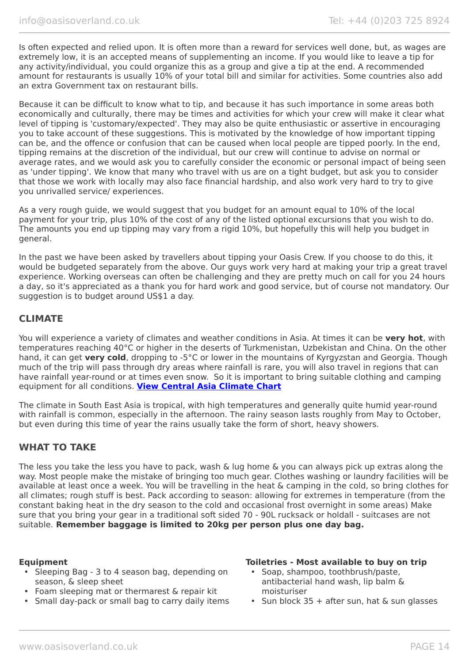Is often expected and relied upon. It is often more than a reward for services well done, but, as wages are extremely low, it is an accepted means of supplementing an income. If you would like to leave a tip for any activity/individual, you could organize this as a group and give a tip at the end. A recommended amount for restaurants is usually 10% of your total bill and similar for activities. Some countries also add an extra Government tax on restaurant bills.

Because it can be difficult to know what to tip, and because it has such importance in some areas both economically and culturally, there may be times and activities for which your crew will make it clear what level of tipping is 'customary/expected'. They may also be quite enthusiastic or assertive in encouraging you to take account of these suggestions. This is motivated by the knowledge of how important tipping can be, and the offence or confusion that can be caused when local people are tipped poorly. In the end, tipping remains at the discretion of the individual, but our crew will continue to advise on normal or average rates, and we would ask you to carefully consider the economic or personal impact of being seen as 'under tipping'. We know that many who travel with us are on a tight budget, but ask you to consider that those we work with locally may also face financial hardship, and also work very hard to try to give you unrivalled service/ experiences.

As a very rough guide, we would suggest that you budget for an amount equal to 10% of the local payment for your trip, plus 10% of the cost of any of the listed optional excursions that you wish to do. The amounts you end up tipping may vary from a rigid 10%, but hopefully this will help you budget in general.

In the past we have been asked by travellers about tipping your Oasis Crew. If you choose to do this, it would be budgeted separately from the above. Our guys work very hard at making your trip a great travel experience. Working overseas can often be challenging and they are pretty much on call for you 24 hours a day, so it's appreciated as a thank you for hard work and good service, but of course not mandatory. Our suggestion is to budget around US\$1 a day.

## **CLIMATE**

You will experience a variety of climates and weather conditions in Asia. At times it can be **very hot**, with temperatures reaching 40°C or higher in the deserts of Turkmenistan, Uzbekistan and China. On the other hand, it can get **very cold**, dropping to -5°C or lower in the mountains of Kyrgyzstan and Georgia. Though much of the trip will pass through dry areas where rainfall is rare, you will also travel in regions that can have rainfall year-round or at times even snow. So it is important to bring suitable clothing and camping equipment for all conditions. **[View Central Asia Climate Chart](https://www.oasisoverland.co.uk/central-asia-climate-chart)**

The climate in South East Asia is tropical, with high temperatures and generally quite humid year-round with rainfall is common, especially in the afternoon. The rainy season lasts roughly from May to October, but even during this time of year the rains usually take the form of short, heavy showers.

## **WHAT TO TAKE**

The less you take the less you have to pack, wash & lug home & you can always pick up extras along the way. Most people make the mistake of bringing too much gear. Clothes washing or laundry facilities will be available at least once a week. You will be travelling in the heat & camping in the cold, so bring clothes for all climates; rough stuff is best. Pack according to season: allowing for extremes in temperature (from the constant baking heat in the dry season to the cold and occasional frost overnight in some areas) Make sure that you bring your gear in a traditional soft sided 70 - 90L rucksack or holdall - suitcases are not suitable. **Remember baggage is limited to 20kg per person plus one day bag.**

- Sleeping Bag 3 to 4 season bag, depending on season, & sleep sheet
- Foam sleeping mat or thermarest & repair kit
- Small day-pack or small bag to carry daily items

#### **Equipment Toiletries - Most available to buy on trip**

- Soap, shampoo, toothbrush/paste, antibacterial hand wash, lip balm & moisturiser
- Sun block 35 + after sun, hat & sun glasses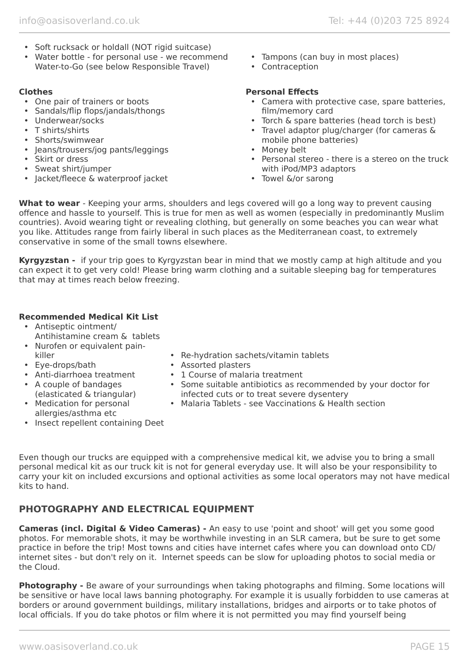- Soft rucksack or holdall (NOT rigid suitcase)
- Water bottle for personal use we recommend Water-to-Go (see below Responsible Travel)

- One pair of trainers or boots
- Sandals/flip flops/jandals/thongs
- Underwear/socks
- T shirts/shirts
- Shorts/swimwear
- Jeans/trousers/jog pants/leggings
- Skirt or dress
- Sweat shirt/jumper
- Jacket/fleece & waterproof jacket
- Tampons (can buy in most places)
- Contraception

## **Clothes Personal Effects**

- Camera with protective case, spare batteries, film/memory card
- Torch & spare batteries (head torch is best)
- Travel adaptor plug/charger (for cameras & mobile phone batteries)
- Money belt
- Personal stereo there is a stereo on the truck with iPod/MP3 adaptors
- Towel &/or sarong

**What to wear** - Keeping your arms, shoulders and legs covered will go a long way to prevent causing offence and hassle to yourself. This is true for men as well as women (especially in predominantly Muslim countries). Avoid wearing tight or revealing clothing, but generally on some beaches you can wear what you like. Attitudes range from fairly liberal in such places as the Mediterranean coast, to extremely conservative in some of the small towns elsewhere.

**Kyrgyzstan -** if your trip goes to Kyrgyzstan bear in mind that we mostly camp at high altitude and you can expect it to get very cold! Please bring warm clothing and a suitable sleeping bag for temperatures that may at times reach below freezing.

## **Recommended Medical Kit List**

- Antiseptic ointment/ Antihistamine cream & tablets
- Nurofen or equivalent painkiller
- Eye-drops/bath
- Anti-diarrhoea treatment
- A couple of bandages (elasticated & triangular)
- Medication for personal allergies/asthma etc
- Insect repellent containing Deet
- Re-hydration sachets/vitamin tablets
- Assorted plasters
- 1 Course of malaria treatment
- Some suitable antibiotics as recommended by your doctor for infected cuts or to treat severe dysentery
	- Malaria Tablets see Vaccinations & Health section

Even though our trucks are equipped with a comprehensive medical kit, we advise you to bring a small personal medical kit as our truck kit is not for general everyday use. It will also be your responsibility to carry your kit on included excursions and optional activities as some local operators may not have medical kits to hand.

# **PHOTOGRAPHY AND ELECTRICAL EQUIPMENT**

**Cameras (incl. Digital & Video Cameras) -** An easy to use 'point and shoot' will get you some good photos. For memorable shots, it may be worthwhile investing in an SLR camera, but be sure to get some practice in before the trip! Most towns and cities have internet cafes where you can download onto CD/ internet sites - but don't rely on it. Internet speeds can be slow for uploading photos to social media or the Cloud.

**Photography -** Be aware of your surroundings when taking photographs and filming. Some locations will be sensitive or have local laws banning photography. For example it is usually forbidden to use cameras at borders or around government buildings, military installations, bridges and airports or to take photos of local officials. If you do take photos or film where it is not permitted you may find yourself being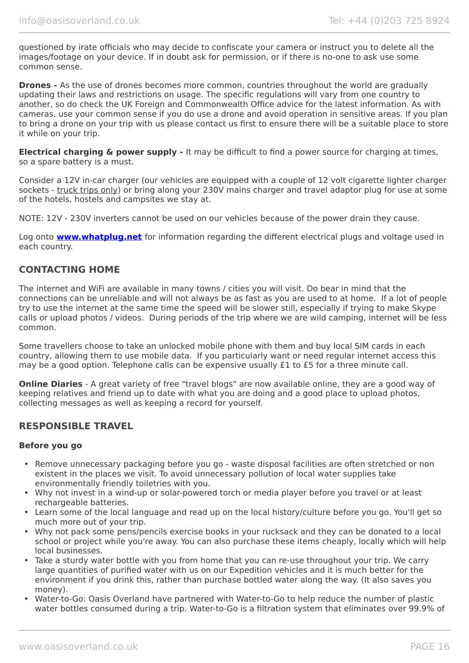questioned by irate officials who may decide to confiscate your camera or instruct you to delete all the images/footage on your device. If in doubt ask for permission, or if there is no-one to ask use some common sense.

**Drones -** As the use of drones becomes more common, countries throughout the world are gradually updating their laws and restrictions on usage. The specific regulations will vary from one country to another, so do check the UK Foreign and Commonwealth Office advice for the latest information. As with cameras, use your common sense if you do use a drone and avoid operation in sensitive areas. If you plan to bring a drone on your trip with us please contact us first to ensure there will be a suitable place to store it while on your trip.

**Electrical charging & power supply -** It may be difficult to find a power source for charging at times, so a spare battery is a must.

Consider a 12V in-car charger (our vehicles are equipped with a couple of 12 volt cigarette lighter charger sockets - truck trips only) or bring along your 230V mains charger and travel adaptor plug for use at some of the hotels, hostels and campsites we stay at.

NOTE: 12V - 230V inverters cannot be used on our vehicles because of the power drain they cause.

Log onto **[www.whatplug.net](http://www.whatplug.net/)** for information regarding the different electrical plugs and voltage used in each country.

## **CONTACTING HOME**

The internet and WiFi are available in many towns / cities you will visit. Do bear in mind that the connections can be unreliable and will not always be as fast as you are used to at home. If a lot of people try to use the internet at the same time the speed will be slower still, especially if trying to make Skype calls or upload photos / videos. During periods of the trip where we are wild camping, internet will be less common.

Some travellers choose to take an unlocked mobile phone with them and buy local SIM cards in each country, allowing them to use mobile data. If you particularly want or need regular internet access this may be a good option. Telephone calls can be expensive usually £1 to £5 for a three minute call.

**Online Diaries** - A great variety of free "travel blogs" are now available online, they are a good way of keeping relatives and friend up to date with what you are doing and a good place to upload photos, collecting messages as well as keeping a record for yourself.

## **RESPONSIBLE TRAVEL**

#### **Before you go**

- Remove unnecessary packaging before you go waste disposal facilities are often stretched or non existent in the places we visit. To avoid unnecessary pollution of local water supplies take environmentally friendly toiletries with you.
- Why not invest in a wind-up or solar-powered torch or media player before you travel or at least rechargeable batteries.
- Learn some of the local language and read up on the local history/culture before you go. You'll get so much more out of your trip.
- Why not pack some pens/pencils exercise books in your rucksack and they can be donated to a local school or project while you're away. You can also purchase these items cheaply, locally which will help local businesses.
- Take a sturdy water bottle with you from home that you can re-use throughout your trip. We carry large quantities of purified water with us on our Expedition vehicles and it is much better for the environment if you drink this, rather than purchase bottled water along the way. (It also saves you money).
- Water-to-Go: Oasis Overland have partnered with Water-to-Go to help reduce the number of plastic water bottles consumed during a trip. Water-to-Go is a filtration system that eliminates over 99.9% of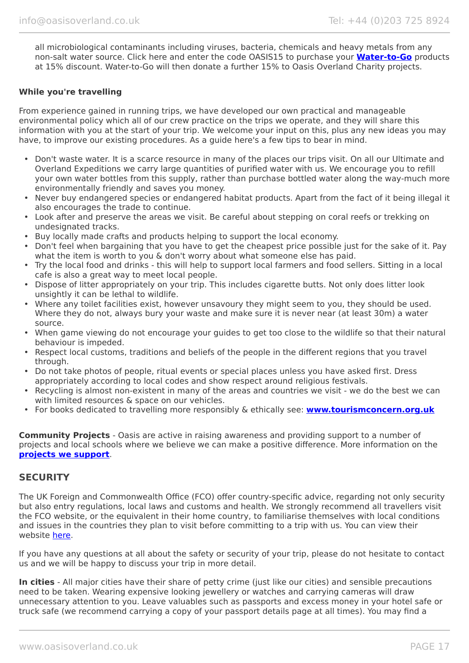all microbiological contaminants including viruses, bacteria, chemicals and heavy metals from any non-salt water source. Click here and enter the code OASIS15 to purchase your **[Water-to-Go](https://watertogo.eu/partnerships/oasisoverland/)** products at 15% discount. Water-to-Go will then donate a further 15% to Oasis Overland Charity projects.

#### **While you're travelling**

From experience gained in running trips, we have developed our own practical and manageable environmental policy which all of our crew practice on the trips we operate, and they will share this information with you at the start of your trip. We welcome your input on this, plus any new ideas you may have, to improve our existing procedures. As a guide here's a few tips to bear in mind.

- Don't waste water. It is a scarce resource in many of the places our trips visit. On all our Ultimate and Overland Expeditions we carry large quantities of purified water with us. We encourage you to refill your own water bottles from this supply, rather than purchase bottled water along the way-much more environmentally friendly and saves you money.
- Never buy endangered species or endangered habitat products. Apart from the fact of it being illegal it also encourages the trade to continue.
- Look after and preserve the areas we visit. Be careful about stepping on coral reefs or trekking on undesignated tracks.
- Buy locally made crafts and products helping to support the local economy.
- Don't feel when bargaining that you have to get the cheapest price possible just for the sake of it. Pay what the item is worth to you & don't worry about what someone else has paid.
- Try the local food and drinks this will help to support local farmers and food sellers. Sitting in a local cafe is also a great way to meet local people.
- Dispose of litter appropriately on your trip. This includes cigarette butts. Not only does litter look unsightly it can be lethal to wildlife.
- Where any toilet facilities exist, however unsavoury they might seem to you, they should be used. Where they do not, always bury your waste and make sure it is never near (at least 30m) a water source.
- When game viewing do not encourage your guides to get too close to the wildlife so that their natural behaviour is impeded.
- Respect local customs, traditions and beliefs of the people in the different regions that you travel through.
- Do not take photos of people, ritual events or special places unless you have asked first. Dress appropriately according to local codes and show respect around religious festivals.
- Recycling is almost non-existent in many of the areas and countries we visit we do the best we can with limited resources & space on our vehicles.
- For books dedicated to travelling more responsibly & ethically see: **[www.tourismconcern.org.uk](https://www.tourismconcern.org.uk/)**

**Community Projects** - Oasis are active in raising awareness and providing support to a number of projects and local schools where we believe we can make a positive difference. More information on the **[projects we support](https://www.oasisoverland.co.uk/responsible-travel/charities-we-support)**.

#### **SECURITY**

The UK Foreign and Commonwealth Office (FCO) offer country-specific advice, regarding not only security but also entry regulations, local laws and customs and health. We strongly recommend all travellers visit the FCO website, or the equivalent in their home country, to familiarise themselves with local conditions and issues in the countries they plan to visit before committing to a trip with us. You can view their website [here.](https://www.gov.uk/foreign-travel-advice)

If you have any questions at all about the safety or security of your trip, please do not hesitate to contact us and we will be happy to discuss your trip in more detail.

**In cities** - All major cities have their share of petty crime (just like our cities) and sensible precautions need to be taken. Wearing expensive looking jewellery or watches and carrying cameras will draw unnecessary attention to you. Leave valuables such as passports and excess money in your hotel safe or truck safe (we recommend carrying a copy of your passport details page at all times). You may find a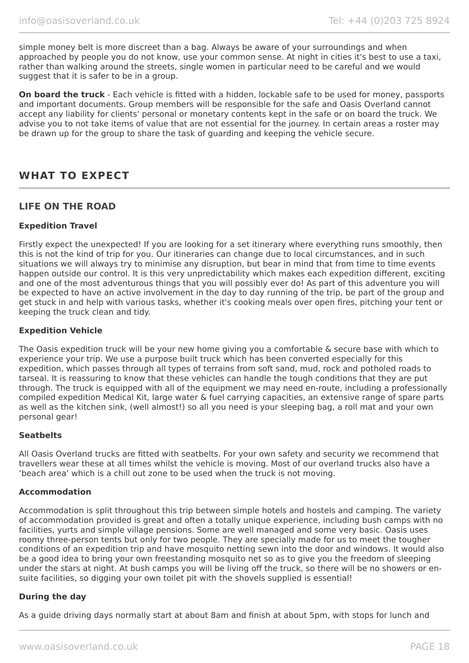simple money belt is more discreet than a bag. Always be aware of your surroundings and when approached by people you do not know, use your common sense. At night in cities it's best to use a taxi, rather than walking around the streets, single women in particular need to be careful and we would suggest that it is safer to be in a group.

**On board the truck** - Each vehicle is fitted with a hidden, lockable safe to be used for money, passports and important documents. Group members will be responsible for the safe and Oasis Overland cannot accept any liability for clients' personal or monetary contents kept in the safe or on board the truck. We advise you to not take items of value that are not essential for the journey. In certain areas a roster may be drawn up for the group to share the task of guarding and keeping the vehicle secure.

# **WHAT TO EXPECT**

## **LIFE ON THE ROAD**

#### **Expedition Travel**

Firstly expect the unexpected! If you are looking for a set itinerary where everything runs smoothly, then this is not the kind of trip for you. Our itineraries can change due to local circumstances, and in such situations we will always try to minimise any disruption, but bear in mind that from time to time events happen outside our control. It is this very unpredictability which makes each expedition different, exciting and one of the most adventurous things that you will possibly ever do! As part of this adventure you will be expected to have an active involvement in the day to day running of the trip, be part of the group and get stuck in and help with various tasks, whether it's cooking meals over open fires, pitching your tent or keeping the truck clean and tidy.

#### **Expedition Vehicle**

The Oasis expedition truck will be your new home giving you a comfortable & secure base with which to experience your trip. We use a purpose built truck which has been converted especially for this expedition, which passes through all types of terrains from soft sand, mud, rock and potholed roads to tarseal. It is reassuring to know that these vehicles can handle the tough conditions that they are put through. The truck is equipped with all of the equipment we may need en-route, including a professionally compiled expedition Medical Kit, large water & fuel carrying capacities, an extensive range of spare parts as well as the kitchen sink, (well almost!) so all you need is your sleeping bag, a roll mat and your own personal gear!

#### **Seatbelts**

All Oasis Overland trucks are fitted with seatbelts. For your own safety and security we recommend that travellers wear these at all times whilst the vehicle is moving. Most of our overland trucks also have a 'beach area' which is a chill out zone to be used when the truck is not moving.

#### **Accommodation**

Accommodation is split throughout this trip between simple hotels and hostels and camping. The variety of accommodation provided is great and often a totally unique experience, including bush camps with no facilities, yurts and simple village pensions. Some are well managed and some very basic. Oasis uses roomy three-person tents but only for two people. They are specially made for us to meet the tougher conditions of an expedition trip and have mosquito netting sewn into the door and windows. It would also be a good idea to bring your own freestanding mosquito net so as to give you the freedom of sleeping under the stars at night. At bush camps you will be living off the truck, so there will be no showers or ensuite facilities, so digging your own toilet pit with the shovels supplied is essential!

#### **During the day**

As a guide driving days normally start at about 8am and finish at about 5pm, with stops for lunch and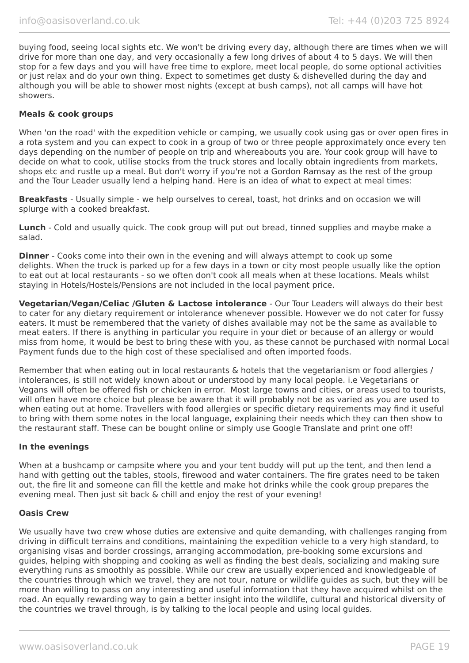buying food, seeing local sights etc. We won't be driving every day, although there are times when we will drive for more than one day, and very occasionally a few long drives of about 4 to 5 days. We will then stop for a few days and you will have free time to explore, meet local people, do some optional activities or just relax and do your own thing. Expect to sometimes get dusty & dishevelled during the day and although you will be able to shower most nights (except at bush camps), not all camps will have hot showers.

#### **Meals & cook groups**

When 'on the road' with the expedition vehicle or camping, we usually cook using gas or over open fires in a rota system and you can expect to cook in a group of two or three people approximately once every ten days depending on the number of people on trip and whereabouts you are. Your cook group will have to decide on what to cook, utilise stocks from the truck stores and locally obtain ingredients from markets, shops etc and rustle up a meal. But don't worry if you're not a Gordon Ramsay as the rest of the group and the Tour Leader usually lend a helping hand. Here is an idea of what to expect at meal times:

**Breakfasts** - Usually simple - we help ourselves to cereal, toast, hot drinks and on occasion we will splurge with a cooked breakfast.

**Lunch** - Cold and usually quick. The cook group will put out bread, tinned supplies and maybe make a salad.

**Dinner** - Cooks come into their own in the evening and will always attempt to cook up some delights. When the truck is parked up for a few days in a town or city most people usually like the option to eat out at local restaurants - so we often don't cook all meals when at these locations. Meals whilst staying in Hotels/Hostels/Pensions are not included in the local payment price.

**Vegetarian/Vegan/Celiac /Gluten & Lactose intolerance** - Our Tour Leaders will always do their best to cater for any dietary requirement or intolerance whenever possible. However we do not cater for fussy eaters. It must be remembered that the variety of dishes available may not be the same as available to meat eaters. If there is anything in particular you require in your diet or because of an allergy or would miss from home, it would be best to bring these with you, as these cannot be purchased with normal Local Payment funds due to the high cost of these specialised and often imported foods.

Remember that when eating out in local restaurants & hotels that the vegetarianism or food allergies / intolerances, is still not widely known about or understood by many local people. i.e Vegetarians or Vegans will often be offered fish or chicken in error. Most large towns and cities, or areas used to tourists, will often have more choice but please be aware that it will probably not be as varied as you are used to when eating out at home. Travellers with food allergies or specific dietary requirements may find it useful to bring with them some notes in the local language, explaining their needs which they can then show to the restaurant staff. These can be bought online or simply use Google Translate and print one off!

#### **In the evenings**

When at a bushcamp or campsite where you and your tent buddy will put up the tent, and then lend a hand with getting out the tables, stools, firewood and water containers. The fire grates need to be taken out, the fire lit and someone can fill the kettle and make hot drinks while the cook group prepares the evening meal. Then just sit back & chill and enjoy the rest of your evening!

#### **Oasis Crew**

We usually have two crew whose duties are extensive and quite demanding, with challenges ranging from driving in difficult terrains and conditions, maintaining the expedition vehicle to a very high standard, to organising visas and border crossings, arranging accommodation, pre-booking some excursions and guides, helping with shopping and cooking as well as finding the best deals, socializing and making sure everything runs as smoothly as possible. While our crew are usually experienced and knowledgeable of the countries through which we travel, they are not tour, nature or wildlife guides as such, but they will be more than willing to pass on any interesting and useful information that they have acquired whilst on the road. An equally rewarding way to gain a better insight into the wildlife, cultural and historical diversity of the countries we travel through, is by talking to the local people and using local guides.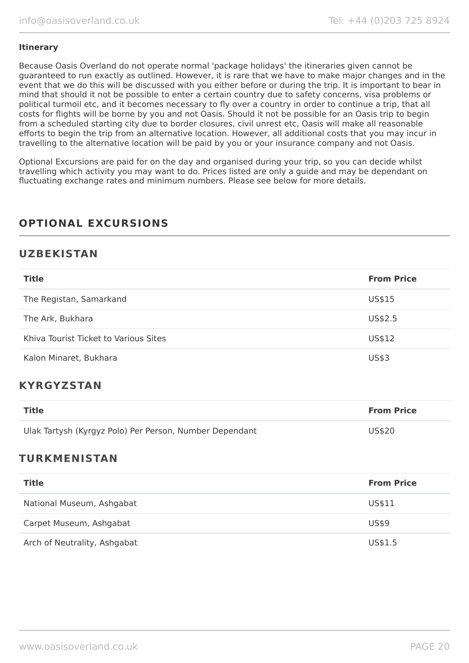#### **Itinerary**

Because Oasis Overland do not operate normal 'package holidays' the itineraries given cannot be guaranteed to run exactly as outlined. However, it is rare that we have to make major changes and in the event that we do this will be discussed with you either before or during the trip. It is important to bear in mind that should it not be possible to enter a certain country due to safety concerns, visa problems or political turmoil etc, and it becomes necessary to fly over a country in order to continue a trip, that all costs for flights will be borne by you and not Oasis. Should it not be possible for an Oasis trip to begin from a scheduled starting city due to border closures, civil unrest etc, Oasis will make all reasonable efforts to begin the trip from an alternative location. However, all additional costs that you may incur in travelling to the alternative location will be paid by you or your insurance company and not Oasis.

Optional Excursions are paid for on the day and organised during your trip, so you can decide whilst travelling which activity you may want to do. Prices listed are only a guide and may be dependant on fluctuating exchange rates and minimum numbers. Please see below for more details.

# **OPTIONAL EXCURSIONS**

## **UZBEKISTAN**

| <b>Title</b>                          | <b>From Price</b> |
|---------------------------------------|-------------------|
| The Registan, Samarkand               | US\$15            |
| The Ark, Bukhara                      | US\$2.5           |
| Khiva Tourist Ticket to Various Sites | US\$12            |
| Kalon Minaret, Bukhara                | <b>US\$3</b>      |

## **KYRGYZSTAN**

| Title                                                   | <b>From Price</b> |
|---------------------------------------------------------|-------------------|
| Ulak Tartysh (Kyrgyz Polo) Per Person, Number Dependant | US\$20            |

## **TURKMENISTAN**

| <b>Title</b>                 | <b>From Price</b> |
|------------------------------|-------------------|
| National Museum, Ashgabat    | US\$11            |
| Carpet Museum, Ashgabat      | US\$9             |
| Arch of Neutrality, Ashgabat | US\$1.5           |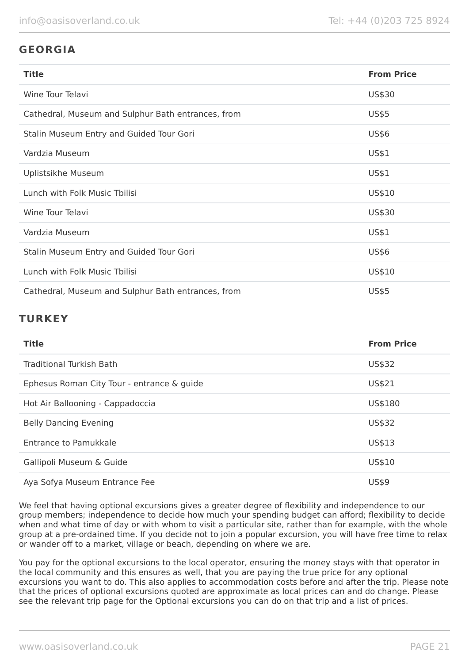# **GEORGIA**

| <b>Title</b>                                       | <b>From Price</b> |
|----------------------------------------------------|-------------------|
| Wine Tour Telavi                                   | US\$30            |
| Cathedral, Museum and Sulphur Bath entrances, from | <b>US\$5</b>      |
| Stalin Museum Entry and Guided Tour Gori           | US\$6             |
| Vardzia Museum                                     | US\$1             |
| Uplistsikhe Museum                                 | US\$1             |
| Lunch with Folk Music Tbilisi                      | US\$10            |
| Wine Tour Telavi                                   | US\$30            |
| Vardzia Museum                                     | US\$1             |
| Stalin Museum Entry and Guided Tour Gori           | <b>US\$6</b>      |
| Lunch with Folk Music Tbilisi                      | US\$10            |
| Cathedral, Museum and Sulphur Bath entrances, from | <b>US\$5</b>      |

# **TURKEY**

| <b>Title</b>                               | <b>From Price</b> |
|--------------------------------------------|-------------------|
| Traditional Turkish Bath                   | US\$32            |
| Ephesus Roman City Tour - entrance & guide | US\$21            |
| Hot Air Ballooning - Cappadoccia           | US\$180           |
| <b>Belly Dancing Evening</b>               | US\$32            |
| <b>Entrance to Pamukkale</b>               | US\$13            |
| Gallipoli Museum & Guide                   | US\$10            |
| Aya Sofya Museum Entrance Fee              | <b>US\$9</b>      |

We feel that having optional excursions gives a greater degree of flexibility and independence to our group members; independence to decide how much your spending budget can afford; flexibility to decide when and what time of day or with whom to visit a particular site, rather than for example, with the whole group at a pre-ordained time. If you decide not to join a popular excursion, you will have free time to relax or wander off to a market, village or beach, depending on where we are.

You pay for the optional excursions to the local operator, ensuring the money stays with that operator in the local community and this ensures as well, that you are paying the true price for any optional excursions you want to do. This also applies to accommodation costs before and after the trip. Please note that the prices of optional excursions quoted are approximate as local prices can and do change. Please see the relevant trip page for the Optional excursions you can do on that trip and a list of prices.